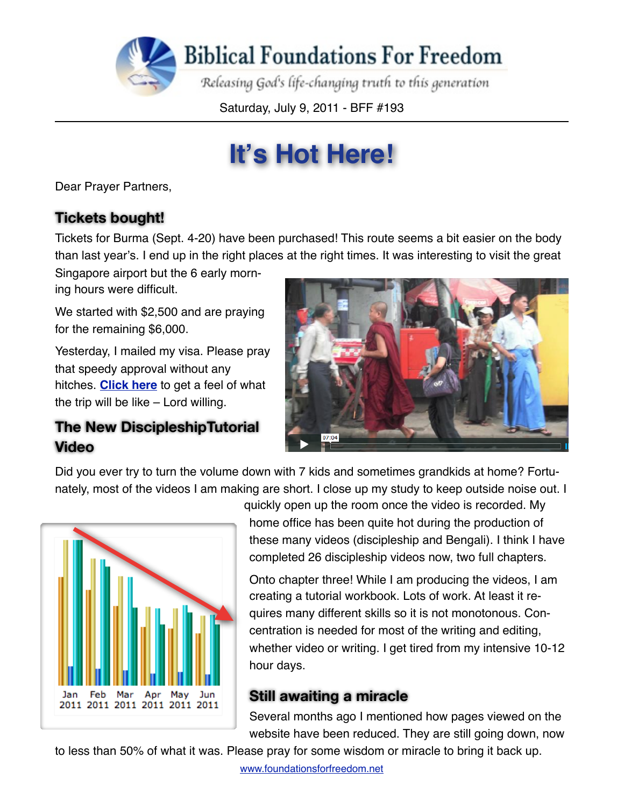

Saturday, July 9, 2011 - BFF #193

# **It's Hot Here!**

Dear Prayer Partners,

### **Tickets bought!**

Tickets for Burma (Sept. 4-20) have been purchased! This route seems a bit easier on the body than last year's. I end up in the right places at the right times. It was interesting to visit the great

Singapore airport but the 6 early morning hours were difficult.

We started with \$2,500 and are praying for the remaining \$6,000.

Yesterday, I mailed my visa. Please pray that speedy approval without any hitches. **[Click here](http://vimeo.com/22919419)** to get a feel of what the trip will be like – Lord willing.

#### **The New DiscipleshipTutorial Video**



Did you ever try to turn the volume down with 7 kids and sometimes grandkids at home? Fortunately, most of the videos I am making are short. I close up my study to keep outside noise out. I



quickly open up the room once the video is recorded. My home office has been quite hot during the production of these many videos (discipleship and Bengali). I think I have completed 26 discipleship videos now, two full chapters.

Onto chapter three! While I am producing the videos, I am creating a tutorial workbook. Lots of work. At least it requires many different skills so it is not monotonous. Concentration is needed for most of the writing and editing, whether video or writing. I get tired from my intensive 10-12 hour days.

#### **Still awaiting a miracle**

Several months ago I mentioned how pages viewed on the website have been reduced. They are still going down, now

to less than 50% of what it was. Please pray for some wisdom or miracle to bring it back up.